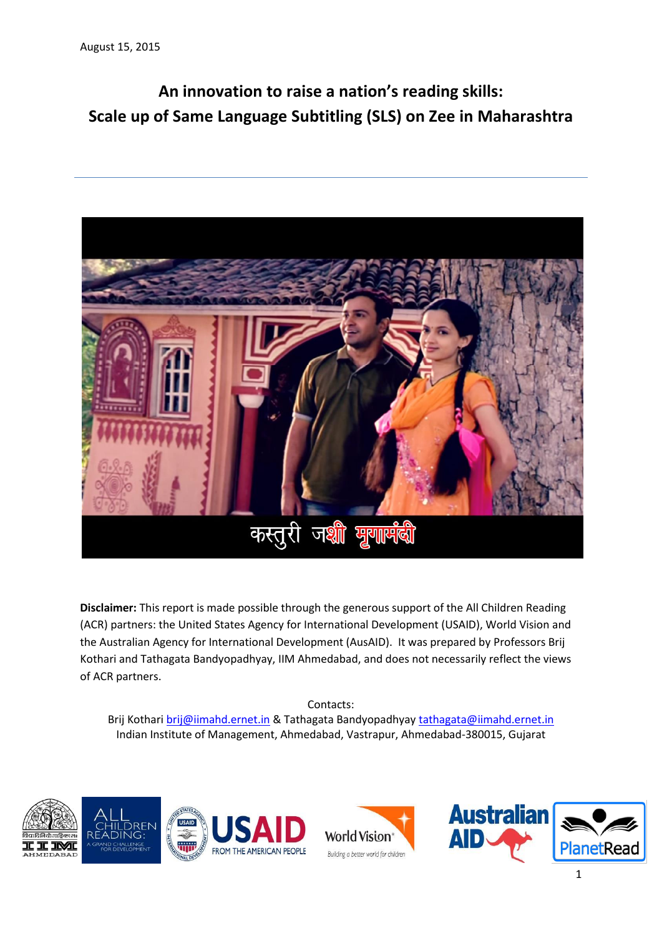# **An innovation to raise a nation's reading skills: Scale up of Same Language Subtitling (SLS) on Zee in Maharashtra**



**Disclaimer:** This report is made possible through the generous support of the All Children Reading (ACR) partners: the United States Agency for International Development (USAID), World Vision and the Australian Agency for International Development (AusAID). It was prepared by Professors Brij Kothari and Tathagata Bandyopadhyay, IIM Ahmedabad, and does not necessarily reflect the views of ACR partners.

#### Contacts:

Brij Kothar[i brij@iimahd.ernet.in](mailto:brij@iimahd.ernet.in) & Tathagata Bandyopadhya[y tathagata@iimahd.ernet.in](mailto:tathagata@iimahd.ernet.in) Indian Institute of Management, Ahmedabad, Vastrapur, Ahmedabad-380015, Gujarat







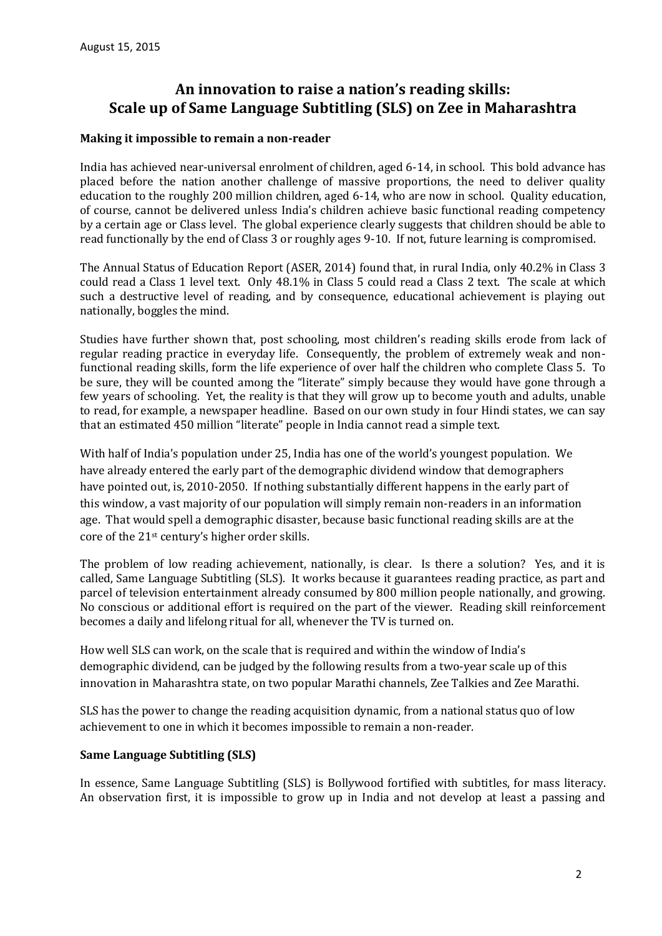## **An innovation to raise a nation's reading skills: Scale up of Same Language Subtitling (SLS) on Zee in Maharashtra**

#### **Making it impossible to remain a non-reader**

India has achieved near-universal enrolment of children, aged 6-14, in school. This bold advance has placed before the nation another challenge of massive proportions, the need to deliver quality education to the roughly 200 million children, aged 6-14, who are now in school. Quality education, of course, cannot be delivered unless India's children achieve basic functional reading competency by a certain age or Class level. The global experience clearly suggests that children should be able to read functionally by the end of Class 3 or roughly ages 9-10. If not, future learning is compromised.

The Annual Status of Education Report (ASER, 2014) found that, in rural India, only 40.2% in Class 3 could read a Class 1 level text. Only 48.1% in Class 5 could read a Class 2 text. The scale at which such a destructive level of reading, and by consequence, educational achievement is playing out nationally, boggles the mind.

Studies have further shown that, post schooling, most children's reading skills erode from lack of regular reading practice in everyday life. Consequently, the problem of extremely weak and nonfunctional reading skills, form the life experience of over half the children who complete Class 5. To be sure, they will be counted among the "literate" simply because they would have gone through a few years of schooling. Yet, the reality is that they will grow up to become youth and adults, unable to read, for example, a newspaper headline. Based on our own study in four Hindi states, we can say that an estimated 450 million "literate" people in India cannot read a simple text.

With half of India's population under 25, India has one of the world's youngest population. We have already entered the early part of the demographic dividend window that demographers have pointed out, is, 2010-2050. If nothing substantially different happens in the early part of this window, a vast majority of our population will simply remain non-readers in an information age. That would spell a demographic disaster, because basic functional reading skills are at the core of the 21st century's higher order skills.

The problem of low reading achievement, nationally, is clear. Is there a solution? Yes, and it is called, Same Language Subtitling (SLS). It works because it guarantees reading practice, as part and parcel of television entertainment already consumed by 800 million people nationally, and growing. No conscious or additional effort is required on the part of the viewer. Reading skill reinforcement becomes a daily and lifelong ritual for all, whenever the TV is turned on.

How well SLS can work, on the scale that is required and within the window of India's demographic dividend, can be judged by the following results from a two-year scale up of this innovation in Maharashtra state, on two popular Marathi channels, Zee Talkies and Zee Marathi.

SLS has the power to change the reading acquisition dynamic, from a national status quo of low achievement to one in which it becomes impossible to remain a non-reader.

#### **Same Language Subtitling (SLS)**

In essence, Same Language Subtitling (SLS) is Bollywood fortified with subtitles, for mass literacy. An observation first, it is impossible to grow up in India and not develop at least a passing and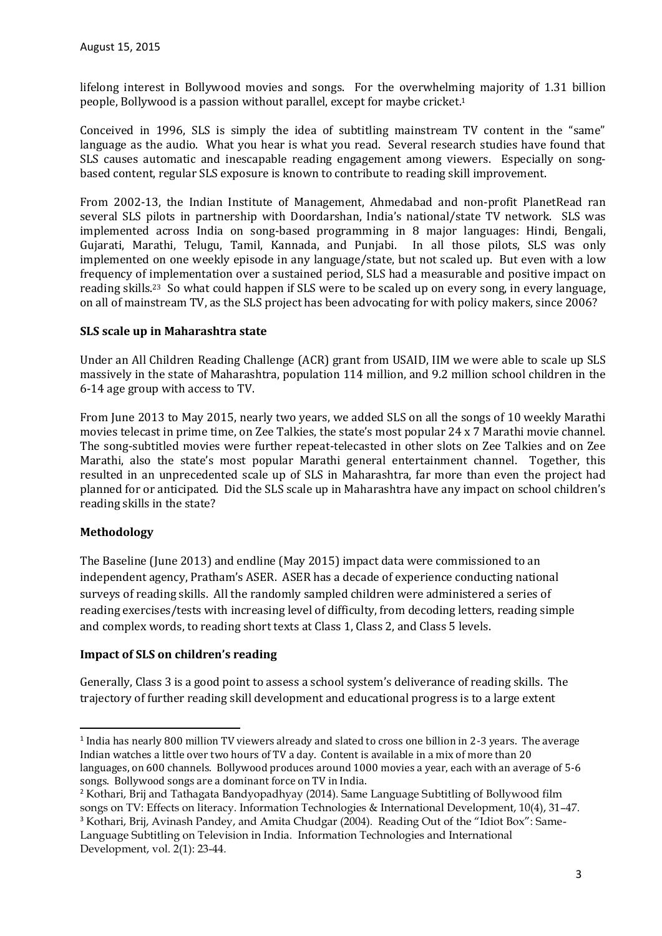lifelong interest in Bollywood movies and songs. For the overwhelming majority of 1.31 billion people, Bollywood is a passion without parallel, except for maybe cricket. 1

Conceived in 1996, SLS is simply the idea of subtitling mainstream TV content in the "same" language as the audio. What you hear is what you read. Several research studies have found that SLS causes automatic and inescapable reading engagement among viewers. Especially on songbased content, regular SLS exposure is known to contribute to reading skill improvement.

From 2002-13, the Indian Institute of Management, Ahmedabad and non-profit PlanetRead ran several SLS pilots in partnership with Doordarshan, India's national/state TV network. SLS was implemented across India on song-based programming in 8 major languages: Hindi, Bengali, Gujarati, Marathi, Telugu, Tamil, Kannada, and Punjabi. In all those pilots, SLS was only implemented on one weekly episode in any language/state, but not scaled up. But even with a low frequency of implementation over a sustained period, SLS had a measurable and positive impact on reading skills. <sup>23</sup> So what could happen if SLS were to be scaled up on every song, in every language, on all of mainstream TV, as the SLS project has been advocating for with policy makers, since 2006?

#### **SLS scale up in Maharashtra state**

Under an All Children Reading Challenge (ACR) grant from USAID, IIM we were able to scale up SLS massively in the state of Maharashtra, population 114 million, and 9.2 million school children in the 6-14 age group with access to TV.

From June 2013 to May 2015, nearly two years, we added SLS on all the songs of 10 weekly Marathi movies telecast in prime time, on Zee Talkies, the state's most popular 24 x 7 Marathi movie channel. The song-subtitled movies were further repeat-telecasted in other slots on Zee Talkies and on Zee Marathi, also the state's most popular Marathi general entertainment channel. Together, this resulted in an unprecedented scale up of SLS in Maharashtra, far more than even the project had planned for or anticipated. Did the SLS scale up in Maharashtra have any impact on school children's reading skills in the state?

## **Methodology**

1

The Baseline (June 2013) and endline (May 2015) impact data were commissioned to an independent agency, Pratham's ASER. ASER has a decade of experience conducting national surveys of reading skills. All the randomly sampled children were administered a series of reading exercises/tests with increasing level of difficulty, from decoding letters, reading simple and complex words, to reading short texts at Class 1, Class 2, and Class 5 levels.

#### **Impact of SLS on children's reading**

Generally, Class 3 is a good point to assess a school system's deliverance of reading skills. The trajectory of further reading skill development and educational progress is to a large extent

Development, vol. 2(1): 23-44.

<sup>&</sup>lt;sup>1</sup> India has nearly 800 million TV viewers already and slated to cross one billion in 2-3 years. The average Indian watches a little over two hours of TV a day. Content is available in a mix of more than 20 languages, on 600 channels. Bollywood produces around 1000 movies a year, each with an average of 5-6 songs. Bollywood songs are a dominant force on TV in India.

<sup>2</sup> Kothari, Brij and Tathagata Bandyopadhyay (2014). Same Language Subtitling of Bollywood film songs on TV: Effects on literacy. Information Technologies & International Development, 10(4), 31–47. <sup>3</sup> Kothari, Brij, Avinash Pandey, and Amita Chudgar (2004). Reading Out of the "Idiot Box": Same-Language Subtitling on Television in India. Information Technologies and International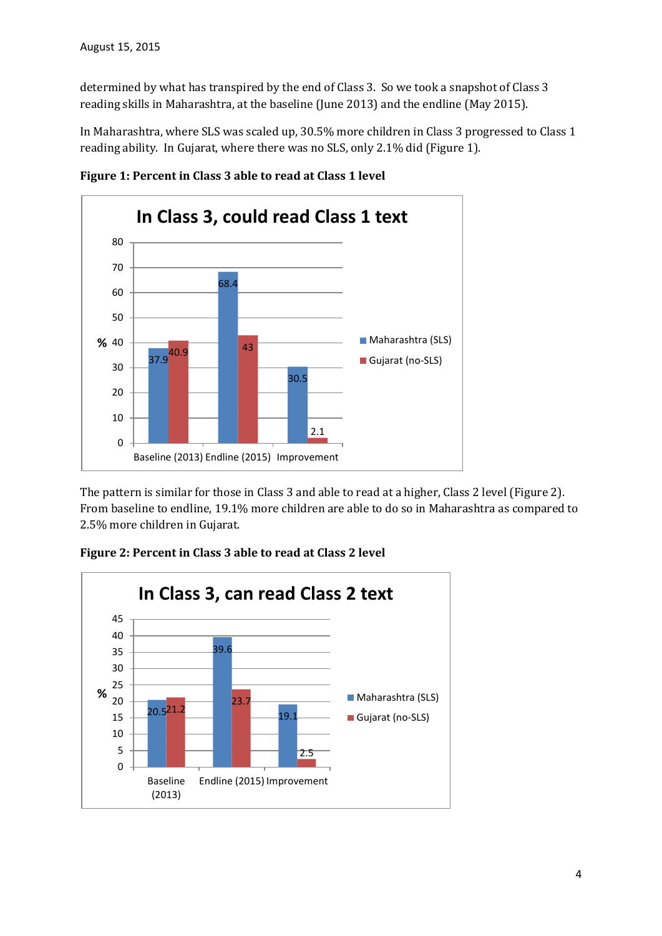determined by what has transpired by the end of Class 3. So we took a snapshot of Class 3 reading skills in Maharashtra, at the baseline (June 2013) and the endline (May 2015).

In Maharashtra, where SLS was scaled up, 30.5% more children in Class 3 progressed to Class 1 reading ability. In Gujarat, where there was no SLS, only 2.1% did (Figure 1).



**Figure 1: Percent in Class 3 able to read at Class 1 level**

The pattern is similar for those in Class 3 and able to read at a higher, Class 2 level (Figure 2). From baseline to endline, 19.1% more children are able to do so in Maharashtra as compared to 2.5% more children in Gujarat.



**Figure 2: Percent in Class 3 able to read at Class 2 level**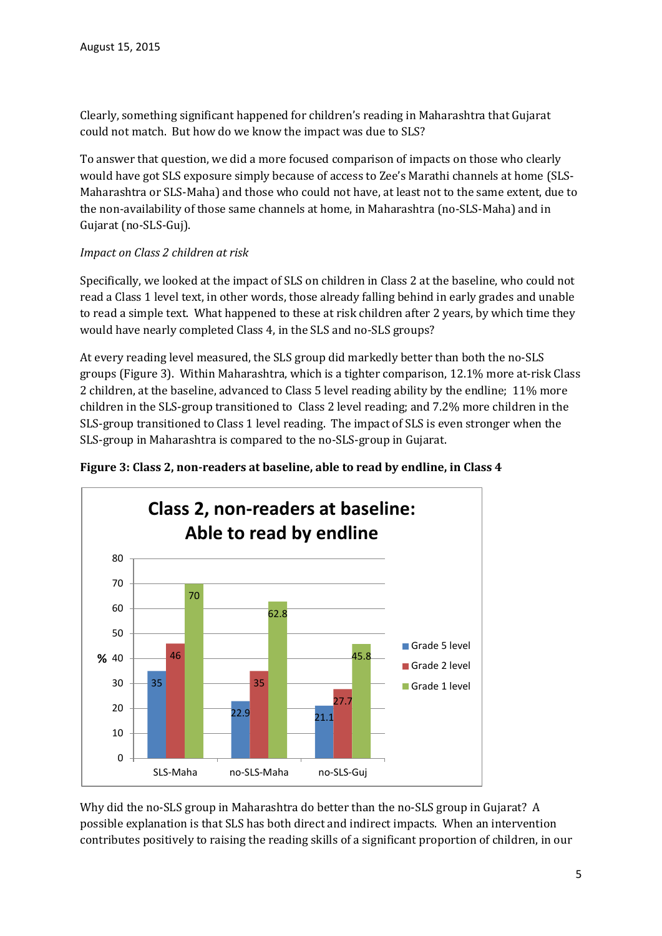Clearly, something significant happened for children's reading in Maharashtra that Gujarat could not match. But how do we know the impact was due to SLS?

To answer that question, we did a more focused comparison of impacts on those who clearly would have got SLS exposure simply because of access to Zee's Marathi channels at home (SLS-Maharashtra or SLS-Maha) and those who could not have, at least not to the same extent, due to the non-availability of those same channels at home, in Maharashtra (no-SLS-Maha) and in Gujarat (no-SLS-Guj).

## *Impact on Class 2 children at risk*

Specifically, we looked at the impact of SLS on children in Class 2 at the baseline, who could not read a Class 1 level text, in other words, those already falling behind in early grades and unable to read a simple text. What happened to these at risk children after 2 years, by which time they would have nearly completed Class 4, in the SLS and no-SLS groups?

At every reading level measured, the SLS group did markedly better than both the no-SLS groups (Figure 3). Within Maharashtra, which is a tighter comparison, 12.1% more at-risk Class 2 children, at the baseline, advanced to Class 5 level reading ability by the endline; 11% more children in the SLS-group transitioned to Class 2 level reading; and 7.2% more children in the SLS-group transitioned to Class 1 level reading. The impact of SLS is even stronger when the SLS-group in Maharashtra is compared to the no-SLS-group in Gujarat.



## **Figure 3: Class 2, non-readers at baseline, able to read by endline, in Class 4**

Why did the no-SLS group in Maharashtra do better than the no-SLS group in Gujarat? A possible explanation is that SLS has both direct and indirect impacts. When an intervention contributes positively to raising the reading skills of a significant proportion of children, in our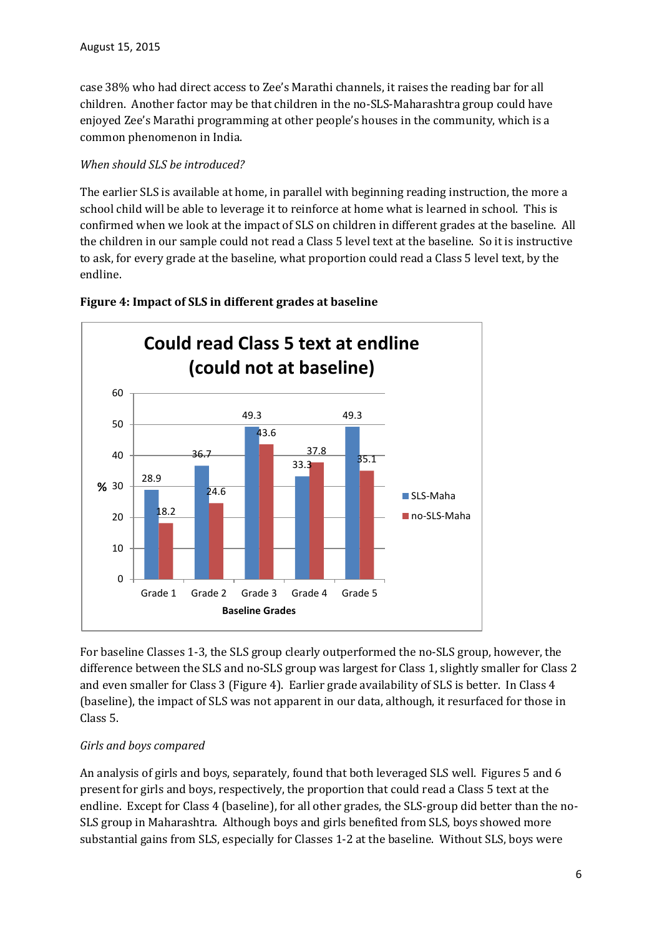case 38% who had direct access to Zee's Marathi channels, it raises the reading bar for all children. Another factor may be that children in the no-SLS-Maharashtra group could have enjoyed Zee's Marathi programming at other people's houses in the community, which is a common phenomenon in India.

#### *When should SLS be introduced?*

The earlier SLS is available at home, in parallel with beginning reading instruction, the more a school child will be able to leverage it to reinforce at home what is learned in school. This is confirmed when we look at the impact of SLS on children in different grades at the baseline. All the children in our sample could not read a Class 5 level text at the baseline. So it is instructive to ask, for every grade at the baseline, what proportion could read a Class 5 level text, by the endline.



## **Figure 4: Impact of SLS in different grades at baseline**

For baseline Classes 1-3, the SLS group clearly outperformed the no-SLS group, however, the difference between the SLS and no-SLS group was largest for Class 1, slightly smaller for Class 2 and even smaller for Class 3 (Figure 4). Earlier grade availability of SLS is better. In Class 4 (baseline), the impact of SLS was not apparent in our data, although, it resurfaced for those in Class 5.

## *Girls and boys compared*

An analysis of girls and boys, separately, found that both leveraged SLS well. Figures 5 and 6 present for girls and boys, respectively, the proportion that could read a Class 5 text at the endline. Except for Class 4 (baseline), for all other grades, the SLS-group did better than the no-SLS group in Maharashtra. Although boys and girls benefited from SLS, boys showed more substantial gains from SLS, especially for Classes 1-2 at the baseline. Without SLS, boys were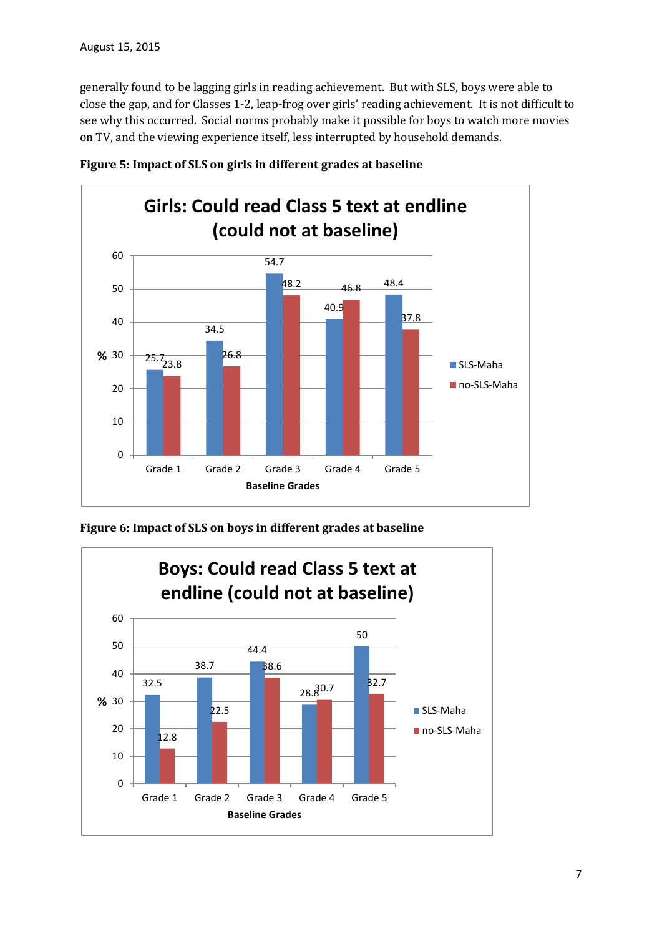generally found to be lagging girls in reading achievement. But with SLS, boys were able to close the gap, and for Classes 1-2, leap-frog over girls' reading achievement. It is not difficult to see why this occurred. Social norms probably make it possible for boys to watch more movies on TV, and the viewing experience itself, less interrupted by household demands.





**Figure 6: Impact of SLS on boys in different grades at baseline**